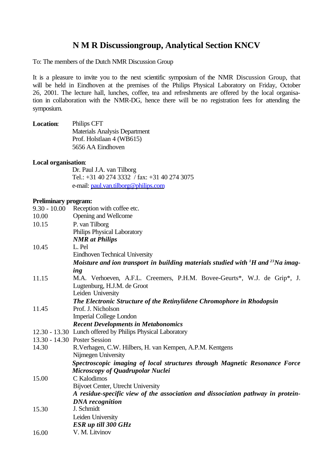# **N M R Discussiongroup, Analytical Section KNCV**

To: The members of the Dutch NMR Discussion Group

It is a pleasure to invite you to the next scientific symposium of the NMR Discussion Group, that will be held in Eindhoven at the premises of the Philips Physical Laboratory on Friday, October 26, 2001. The lecture hall, lunches, coffee, tea and refreshments are offered by the local organisation in collaboration with the NMR-DG, hence there will be no registration fees for attending the symposium.

| <b>Location:</b> | Philips CFT                          |
|------------------|--------------------------------------|
|                  | <b>Materials Analysis Department</b> |
|                  | Prof. Holstlaan 4 (WB615)            |
|                  | 5656 AA Eindhoven                    |

#### **Local organisation**:

Dr. Paul J.A. van Tilborg Tel.: +31 40 274 3332 / fax: +31 40 274 3075 e-mail: paul.van.tilborg@philips.com

#### **Preliminary program:**

|       | 9.30 - 10.00 Reception with coffee etc.                                                                 |  |
|-------|---------------------------------------------------------------------------------------------------------|--|
| 10.00 | Opening and Wellcome                                                                                    |  |
| 10.15 | P. van Tilborg                                                                                          |  |
|       | Philips Physical Laboratory                                                                             |  |
|       | <b>NMR</b> at Philips                                                                                   |  |
| 10.45 | L. Pel                                                                                                  |  |
|       | <b>Eindhoven Technical University</b>                                                                   |  |
|       | Moisture and ion transport in building materials studied with <sup>1</sup> H and <sup>23</sup> Na imag- |  |
|       | ing                                                                                                     |  |
| 11.15 | M.A. Verhoeven, A.F.L. Creemers, P.H.M. Bovee-Geurts*, W.J. de Grip*, J.                                |  |
|       | Lugtenburg, H.J.M. de Groot                                                                             |  |
|       | Leiden University                                                                                       |  |
|       | The Electronic Structure of the Retinylidene Chromophore in Rhodopsin                                   |  |
| 11.45 | Prof. J. Nicholson                                                                                      |  |
|       | <b>Imperial College London</b>                                                                          |  |
|       | <b>Recent Developments in Metabonomics</b>                                                              |  |
|       | 12.30 - 13.30 Lunch offered by Philips Physical Laboratory                                              |  |
|       | 13.30 - 14.30 Poster Session                                                                            |  |
| 14.30 | R. Verhagen, C.W. Hilbers, H. van Kempen, A.P.M. Kentgens                                               |  |
|       | Nijmegen University                                                                                     |  |
|       | Spectroscopic imaging of local structures through Magnetic Resonance Force                              |  |
|       | Microscopy of Quadrupolar Nuclei                                                                        |  |
| 15.00 | C Kalodimos                                                                                             |  |
|       | Bijvoet Center, Utrecht University                                                                      |  |
|       | A residue-specific view of the association and dissociation pathway in protein-                         |  |
|       | <b>DNA</b> recognition                                                                                  |  |
| 15.30 | J. Schmidt                                                                                              |  |
|       | Leiden University                                                                                       |  |
|       | ESR up till 300 GHz                                                                                     |  |
| 16.00 | V. M. Litvinov                                                                                          |  |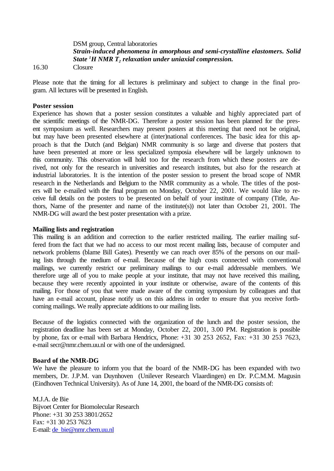DSM group, Central laboratories *Strain-induced phenomena in amorphous and semi-crystalline elastomers. Solid State <sup>1</sup>H NMR T<sup>2</sup> relaxation under uniaxial compression.*

16.30 Closure

Please note that the timing for all lectures is preliminary and subject to change in the final program. All lectures will be presented in English.

### **Poster session**

Experience has shown that a poster session constitutes a valuable and highly appreciated part of the scientific meetings of the NMR-DG. Therefore a poster session has been planned for the present symposium as well. Researchers may present posters at this meeting that need not be original, but may have been presented elsewhere at (inter)national conferences. The basic idea for this approach is that the Dutch (and Belgian) NMR community is so large and diverse that posters that have been presented at more or less specialized symposia elsewhere will be largely unknown to this community. This observation will hold too for the research from which these posters are derived, not only for the research in universities and research institutes, but also for the research at industrial laboratories. It is the intention of the poster session to present the broad scope of NMR research in the Netherlands and Belgium to the NMR community as a whole. The titles of the posters will be e-mailed with the final program on Monday, October 22, 2001. We would like to receive full details on the posters to be presented on behalf of your institute of company (Title, Authors, Name of the presenter and name of the institute(s)) not later than October 21, 2001. The NMR-DG will award the best poster presentation with a prize.

## **Mailing lists and registration**

This mailing is an addition and correction to the earlier restricted mailing. The earlier mailing suffered from the fact that we had no access to our most recent mailing lists, because of computer and network problems (blame Bill Gates). Presently we can reach over 85% of the persons on our mailing lists through the medium of e-mail. Because of the high costs connected with conventional mailings, we currently restrict our preliminary mailings to our e-mail addressable members. We therefore urge all of you to make people at your institute, that may not have received this mailing, because they were recently appointed in your institute or otherwise, aware of the contents of this mailing. For those of you that were made aware of the coming symposium by colleagues and that have an e-mail account, please notify us on this address in order to ensure that you receive forthcoming mailings. We really appreciate additions to our mailing lists.

Because of the logistics connected with the organization of the lunch and the poster session, the registration deadline has been set at Monday, October 22, 2001, 3.00 PM. Registration is possible by phone, fax or e-mail with Barbara Hendricx, Phone: +31 30 253 2652, Fax: +31 30 253 7623, e-mail secr@nmr.chem.uu.nl or with one of the undersigned.

## **Board of the NMR-DG**

We have the pleasure to inform you that the board of the NMR-DG has been expanded with two members, Dr. J.P.M. van Duynhoven (Unilever Research Vlaardingen) en Dr. P.C.M.M. Magusin (Eindhoven Technical University). As of June 14, 2001, the board of the NMR-DG consists of:

M.J.A. de Bie Bijvoet Center for Biomolecular Research Phone: +31 30 253 3801/2652 Fax: +31 30 253 7623 E-mail: de\_bie@nmr.chem.uu.nl